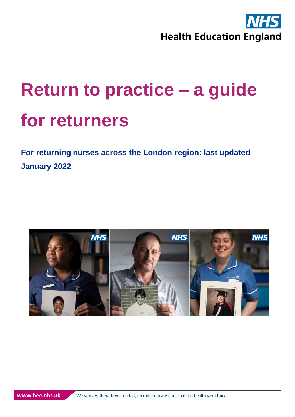

<span id="page-0-1"></span><span id="page-0-0"></span>**For returning nurses across the London region: last updated January 2022**

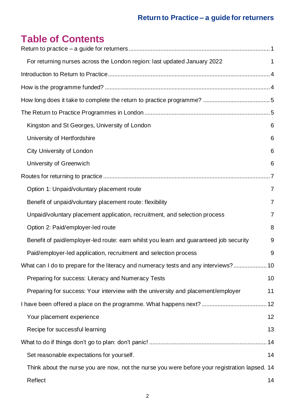# **Table of Contents**

| For returning nurses across the London region: last updated January 2022                      | 1              |
|-----------------------------------------------------------------------------------------------|----------------|
|                                                                                               |                |
|                                                                                               |                |
|                                                                                               |                |
|                                                                                               |                |
| Kingston and St Georges, University of London                                                 | 6              |
| University of Hertfordshire                                                                   | 6              |
| City University of London                                                                     | 6              |
| University of Greenwich                                                                       | 6              |
|                                                                                               |                |
| Option 1: Unpaid/voluntary placement route                                                    | $\overline{7}$ |
| Benefit of unpaid/voluntary placement route: flexibility                                      | $\overline{7}$ |
| Unpaid/voluntary placement application, recruitment, and selection process                    | $\overline{7}$ |
| Option 2: Paid/employer-led route                                                             | 8              |
| Benefit of paid/employer-led route: earn whilst you learn and guaranteed job security         | 9              |
| Paid/employer-led application, recruitment and selection process                              | 9              |
| What can I do to prepare for the literacy and numeracy tests and any interviews?              | 10             |
| Preparing for success: Literacy and Numeracy Tests                                            | 10             |
| Preparing for success: Your interview with the university and placement/employer              | 11             |
|                                                                                               |                |
| Your placement experience                                                                     | 12             |
| Recipe for successful learning                                                                | 13             |
|                                                                                               |                |
| Set reasonable expectations for yourself.                                                     | 14             |
| Think about the nurse you are now, not the nurse you were before your registration lapsed. 14 |                |
| Reflect                                                                                       | 14             |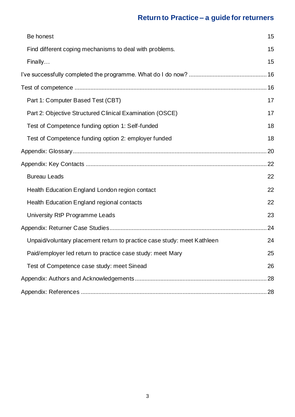| Be honest                                                               | 15 |
|-------------------------------------------------------------------------|----|
| Find different coping mechanisms to deal with problems.                 | 15 |
| Finally                                                                 | 15 |
|                                                                         |    |
|                                                                         |    |
| Part 1: Computer Based Test (CBT)                                       | 17 |
| Part 2: Objective Structured Clinical Examination (OSCE)                | 17 |
| Test of Competence funding option 1: Self-funded                        | 18 |
| Test of Competence funding option 2: employer funded                    | 18 |
|                                                                         |    |
|                                                                         | 22 |
| <b>Bureau Leads</b>                                                     | 22 |
| Health Education England London region contact                          | 22 |
| Health Education England regional contacts                              | 22 |
| University RtP Programme Leads                                          | 23 |
|                                                                         | 24 |
| Unpaid/voluntary placement return to practice case study: meet Kathleen | 24 |
| Paid/employer led return to practice case study: meet Mary              | 25 |
| Test of Competence case study: meet Sinead                              | 26 |
|                                                                         | 28 |
|                                                                         |    |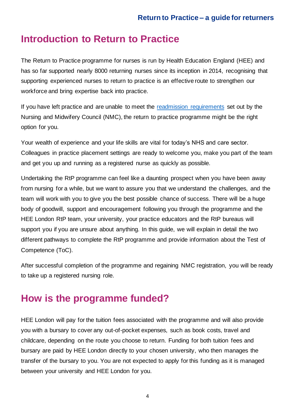# <span id="page-3-0"></span>**Introduction to Return to Practice**

The Return to Practice programme for nurses is run by Health Education England (HEE) and has so far supported nearly 8000 returning nurses since its inception in 2014, recognising that supporting experienced nurses to return to practice is an effective route to strengthen our workforce and bring expertise back into practice.

If you have left practice and are unable to meet the [readmission requirements](https://www.nmc.org.uk/registration/returning-to-the-register/checklist-of-requirements/) set out by the Nursing and Midwifery Council (NMC), the return to practice programme might be the right option for you.

Your wealth of experience and your life skills are vital for today's NHS and care sector. Colleagues in practice placement settings are ready to welcome you, make you part of the team and get you up and running as a registered nurse as quickly as possible.

Undertaking the RtP programme can feel like a daunting prospect when you have been away from nursing for a while, but we want to assure you that we understand the challenges, and the team will work with you to give you the best possible chance of success. There will be a huge body of goodwill, support and encouragement following you through the programme and the HEE London RtP team, your university, your practice educators and the RtP bureaus will support you if you are unsure about anything. In this guide, we will explain in detail the two different pathways to complete the RtP programme and provide information about the Test of Competence (ToC).

After successful completion of the programme and regaining NMC registration, you will be ready to take up a registered nursing role.

# <span id="page-3-1"></span>**How is the programme funded?**

HEE London will pay for the tuition fees associated with the programme and will also provide you with a bursary to cover any out-of-pocket expenses, such as book costs, travel and childcare, depending on the route you choose to return. Funding for both tuition fees and bursary are paid by HEE London directly to your chosen university, who then manages the transfer of the bursary to you. You are not expected to apply for this funding as it is managed between your university and HEE London for you.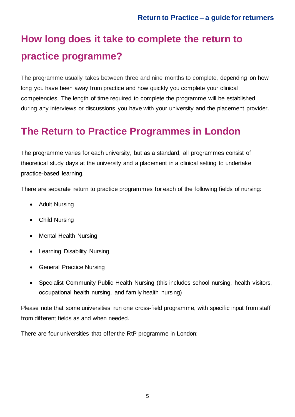# <span id="page-4-0"></span>**How long does it take to complete the return to practice programme?**

The programme usually takes between three and nine months to complete, depending on how long you have been away from practice and how quickly you complete your clinical competencies. The length of time required to complete the programme will be established during any interviews or discussions you have with your university and the placement provider.

# <span id="page-4-1"></span>**The Return to Practice Programmes in London**

The programme varies for each university, but as a standard, all programmes consist of theoretical study days at the university and a placement in a clinical setting to undertake practice-based learning.

There are separate return to practice programmes for each of the following fields of nursing:

- Adult Nursing
- Child Nursing
- Mental Health Nursing
- Learning Disability Nursing
- General Practice Nursing
- Specialist Community Public Health Nursing (this includes school nursing, health visitors, occupational health nursing, and family health nursing)

Please note that some universities run one cross-field programme, with specific input from staff from different fields as and when needed.

There are four universities that offer the RtP programme in London: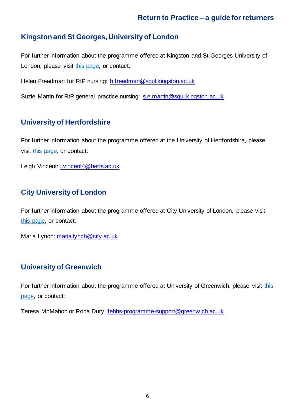#### <span id="page-5-0"></span>**Kingston and St Georges, University of London**

For further information about the programme offered at Kingston and St Georges University of London, please visit [this page,](https://www.healthcare.ac.uk/courses/rtp-nursing-midwifery/) or contact:

Helen Freedman for RtP nursing: h.freedman@sgul.kingston.ac.uk

Suzie Martin for RtP general practice nursing: s.e.martin@sgul.kingston.ac.uk

#### <span id="page-5-1"></span>**University of Hertfordshire**

For further information about the programme offered at the University of Hertfordshire, please visit [this page,](https://www.applycpd.com/HERTS/courses/109918?courseId=109918&tabId=3) or contact:

Leigh Vincent: l.vincent4@herts.ac.uk

#### <span id="page-5-2"></span>**City University of London**

For further information about the programme offered at City University of London, please visit [this page,](https://www.city.ac.uk/prospective-students/courses/professional-development/return-to-practice-nursing) or contact:

Maria Lynch: maria.lynch@city.ac.uk

#### <span id="page-5-3"></span>**University of Greenwich**

For further information about the programme offered at University of Greenwich, please visit this [page,](https://www.gre.ac.uk/opportunities/opportunities-repository/faculty-of-education-and-health/return-to-practice-for-nurses-programme) or contact:

Teresa McMahon or Rona Dury: fehhs-programme-support@greenwich.ac.uk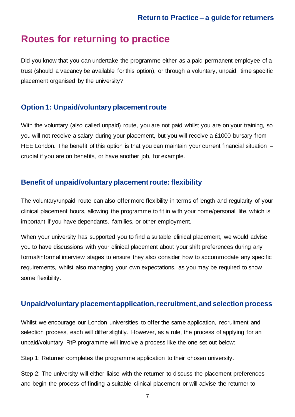### <span id="page-6-0"></span>**Routes for returning to practice**

Did you know that you can undertake the programme either as a paid permanent employee of a trust (should a vacancy be available for this option), or through a voluntary, unpaid, time specific placement organised by the university?

#### <span id="page-6-1"></span>**Option 1: Unpaid/voluntary placement route**

With the voluntary (also called unpaid) route, you are not paid whilst you are on your training, so you will not receive a salary during your placement, but you will receive a £1000 bursary from HEE London. The benefit of this option is that you can maintain your current financial situation – crucial if you are on benefits, or have another job, for example.

#### <span id="page-6-2"></span>**Benefit of unpaid/voluntary placement route: flexibility**

The voluntary/unpaid route can also offer more flexibility in terms of length and regularity of your clinical placement hours, allowing the programme to fit in with your home/personal life, which is important if you have dependants, families, or other employment.

When your university has supported you to find a suitable clinical placement, we would advise you to have discussions with your clinical placement about your shift preferences during any formal/informal interview stages to ensure they also consider how to accommodate any specific requirements, whilst also managing your own expectations, as you may be required to show some flexibility.

#### <span id="page-6-3"></span>**Unpaid/voluntary placement application, recruitment, and selection process**

Whilst we encourage our London universities to offer the same application, recruitment and selection process, each will differ slightly. However, as a rule, the process of applying for an unpaid/voluntary RtP programme will involve a process like the one set out below:

Step 1: Returner completes the programme application to their chosen university.

Step 2: The university will either liaise with the returner to discuss the placement preferences and begin the process of finding a suitable clinical placement or will advise the returner to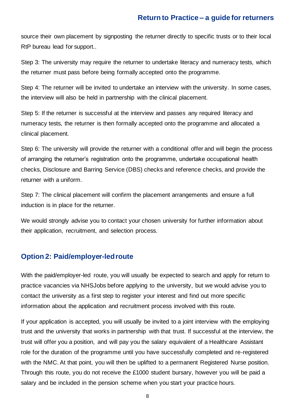source their own placement by signposting the returner directly to specific trusts or to their local RtP bureau lead for support..

Step 3: The university may require the returner to undertake literacy and numeracy tests, which the returner must pass before being formally accepted onto the programme.

Step 4: The returner will be invited to undertake an interview with the university. In some cases, the interview will also be held in partnership with the clinical placement.

Step 5: If the returner is successful at the interview and passes any required literacy and numeracy tests, the returner is then formally accepted onto the programme and allocated a clinical placement.

Step 6: The university will provide the returner with a conditional offer and will begin the process of arranging the returner's registration onto the programme, undertake occupational health checks, Disclosure and Barring Service (DBS) checks and reference checks, and provide the returner with a uniform.

Step 7: The clinical placement will confirm the placement arrangements and ensure a full induction is in place for the returner.

We would strongly advise you to contact your chosen university for further information about their application, recruitment, and selection process.

#### <span id="page-7-0"></span>**Option 2: Paid/employer-led route**

With the paid/employer-led route, you will usually be expected to search and apply for return to practice vacancies via NHSJobs before applying to the university, but we would advise you to contact the university as a first step to register your interest and find out more specific information about the application and recruitment process involved with this route.

If your application is accepted, you will usually be invited to a joint interview with the employing trust and the university that works in partnership with that trust. If successful at the interview, the trust will offer you a position, and will pay you the salary equivalent of a Healthcare Assistant role for the duration of the programme until you have successfully completed and re-registered with the NMC. At that point, you will then be uplifted to a permanent Registered Nurse position. Through this route, you do not receive the £1000 student bursary, however you will be paid a salary and be included in the pension scheme when you start your practice hours.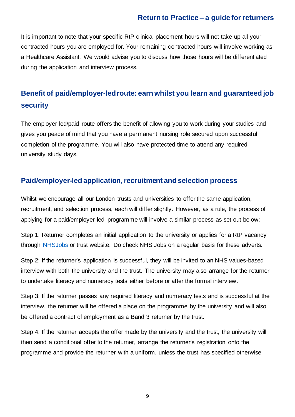It is important to note that your specific RtP clinical placement hours will not take up all your contracted hours you are employed for. Your remaining contracted hours will involve working as a Healthcare Assistant. We would advise you to discuss how those hours will be differentiated during the application and interview process.

### <span id="page-8-0"></span>**Benefit of paid/employer-led route: earn whilst you learn and guaranteed job security**

The employer led/paid route offers the benefit of allowing you to work during your studies and gives you peace of mind that you have a permanent nursing role secured upon successful completion of the programme. You will also have protected time to attend any required university study days.

#### <span id="page-8-1"></span>**Paid/employer-led application, recruitment and selection process**

Whilst we encourage all our London trusts and universities to offer the same application, recruitment, and selection process, each will differ slightly. However, as a rule, the process of applying for a paid/employer-led programme will involve a similar process as set out below:

Step 1: Returner completes an initial application to the university or applies for a RtP vacancy through [NHSJobs](https://www.jobs.nhs.uk/) or trust website. Do check NHS Jobs on a regular basis for these adverts.

Step 2: If the returner's application is successful, they will be invited to an NHS values-based interview with both the university and the trust. The university may also arrange for the returner to undertake literacy and numeracy tests either before or after the formal interview.

Step 3: If the returner passes any required literacy and numeracy tests and is successful at the interview, the returner will be offered a place on the programme by the university and will also be offered a contract of employment as a Band 3 returner by the trust.

Step 4: If the returner accepts the offer made by the university and the trust, the university will then send a conditional offer to the returner, arrange the returner's registration onto the programme and provide the returner with a uniform, unless the trust has specified otherwise.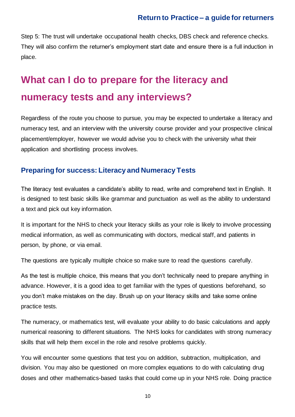Step 5: The trust will undertake occupational health checks, DBS check and reference checks. They will also confirm the returner's employment start date and ensure there is a full induction in place.

# <span id="page-9-0"></span>**What can I do to prepare for the literacy and numeracy tests and any interviews?**

Regardless of the route you choose to pursue, you may be expected to undertake a literacy and numeracy test, and an interview with the university course provider and your prospective clinical placement/employer, however we would advise you to check with the university what their application and shortlisting process involves.

#### <span id="page-9-1"></span>**Preparing for success: Literacy and Numeracy Tests**

The literacy test evaluates a candidate's ability to read, write and comprehend text in English. It is designed to test basic skills like grammar and punctuation as well as the ability to understand a text and pick out key information.

It is important for the NHS to check your literacy skills as your role is likely to involve processing medical information, as well as communicating with doctors, medical staff, and patients in person, by phone, or via email.

The questions are typically multiple choice so make sure to read the questions carefully.

As the test is multiple choice, this means that you don't technically need to prepare anything in advance. However, it is a good idea to get familiar with the types of questions beforehand, so you don't make mistakes on the day. Brush up on your literacy skills and take some online practice tests.

The numeracy, or mathematics test, will evaluate your ability to do basic calculations and apply numerical reasoning to different situations. The NHS looks for candidates with strong numeracy skills that will help them excel in the role and resolve problems quickly.

You will encounter some questions that test you on addition, subtraction, multiplication, and division. You may also be questioned on more complex equations to do with calculating drug doses and other mathematics-based tasks that could come up in your NHS role. Doing practice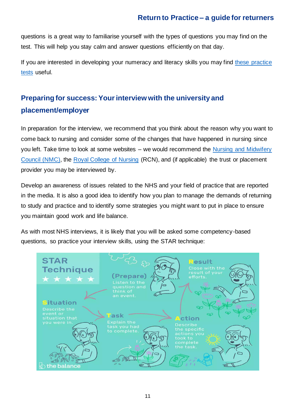questions is a great way to familiarise yourself with the types of questions you may find on the test. This will help you stay calm and answer questions efficiently on that day.

If you are interested in developing your numeracy and literacy skills you may find these [practice](https://snap-ae.com/hca-nhs-maths-english.php)  [tests](https://snap-ae.com/hca-nhs-maths-english.php) useful.

## <span id="page-10-0"></span>**Preparing for success: Your interview with the university and placement/employer**

In preparation for the interview, we recommend that you think about the reason why you want to come back to nursing and consider some of the changes that have happened in nursing since you left. Take time to look at some websites – we would recommend the [Nursing and Midwifery](https://www.nmc.org.uk/)  [Council \(NMC\),](https://www.nmc.org.uk/) the [Royal College of Nursing](https://www.rcn.org.uk/) (RCN), and (if applicable) the trust or placement provider you may be interviewed by.

Develop an awareness of issues related to the NHS and your field of practice that are reported in the media. It is also a good idea to identify how you plan to manage the demands of returning to study and practice and to identify some strategies you might want to put in place to ensure you maintain good work and life balance.

As with most NHS interviews, it is likely that you will be asked some competency-based questions, so practice your interview skills, using the STAR technique:

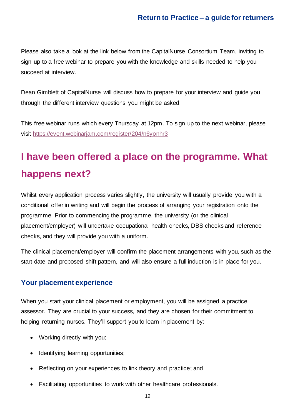Please also take a look at the link below from the CapitalNurse Consortium Team, inviting to sign up to a free webinar to prepare you with the knowledge and skills needed to help you succeed at interview.

Dean Gimblett of CapitalNurse will discuss how to prepare for your interview and guide you through the different interview questions you might be asked.

This free webinar runs which every Thursday at 12pm. To sign up to the next webinar, please visit https://event.webinariam.com/register/204/n6yonhr3

# <span id="page-11-0"></span>**I have been offered a place on the programme. What happens next?**

Whilst every application process varies slightly, the university will usually provide you with a conditional offer in writing and will begin the process of arranging your registration onto the programme. Prior to commencing the programme, the university (or the clinical placement/employer) will undertake occupational health checks, DBS checks and reference checks, and they will provide you with a uniform.

The clinical placement/employer will confirm the placement arrangements with you, such as the start date and proposed shift pattern, and will also ensure a full induction is in place for you.

#### <span id="page-11-1"></span>**Your placement experience**

When you start your clinical placement or employment, you will be assigned a practice assessor. They are crucial to your success, and they are chosen for their commitment to helping returning nurses. They'll support you to learn in placement by:

- Working directly with you;
- Identifying learning opportunities;
- Reflecting on your experiences to link theory and practice; and
- Facilitating opportunities to work with other healthcare professionals.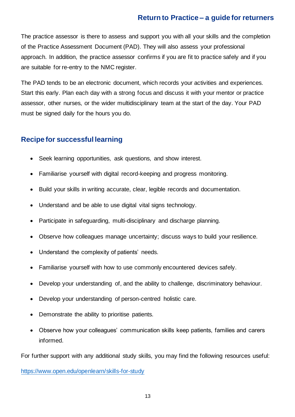The practice assessor is there to assess and support you with all your skills and the completion of the Practice Assessment Document (PAD). They will also assess your professional approach. In addition, the practice assessor confirms if you are fit to practice safely and if you are suitable for re-entry to the NMC register.

The PAD tends to be an electronic document, which records your activities and experiences. Start this early. Plan each day with a strong focus and discuss it with your mentor or practice assessor, other nurses, or the wider multidisciplinary team at the start of the day. Your PAD must be signed daily for the hours you do.

#### <span id="page-12-0"></span>**Recipe for successful learning**

- Seek learning opportunities, ask questions, and show interest.
- Familiarise yourself with digital record-keeping and progress monitoring.
- Build your skills in writing accurate, clear, legible records and documentation.
- Understand and be able to use digital vital signs technology.
- Participate in safeguarding, multi-disciplinary and discharge planning.
- Observe how colleagues manage uncertainty; discuss ways to build your resilience.
- Understand the complexity of patients' needs.
- Familiarise yourself with how to use commonly encountered devices safely.
- Develop your understanding of, and the ability to challenge, discriminatory behaviour.
- Develop your understanding of person-centred holistic care.
- Demonstrate the ability to prioritise patients.
- Observe how your colleagues' communication skills keep patients, families and carers informed.

For further support with any additional study skills, you may find the following resources useful:

<https://www.open.edu/openlearn/skills-for-study>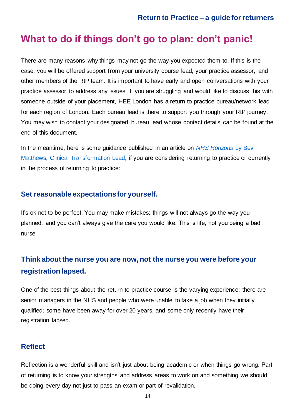# <span id="page-13-0"></span>**What to do if things don't go to plan: don't panic!**

There are many reasons why things may not go the way you expected them to. If this is the case, you will be offered support from your university course lead, your practice assessor, and other members of the RtP team. It is important to have early and open conversations with your practice assessor to address any issues. If you are struggling and would like to discuss this with someone outside of your placement, HEE London has a return to practice bureau/network lead for each region of London. Each bureau lead is there to support you through your RtP journey. You may wish to contact your designated bureau lead whose contact details can be found at the end of this document.

In the meantime, here is some guidance published in an article on *[NHS Horizons](https://nhshorizons.passle.net/post/102fokb/return-to-practice-it-may-be-tough-but-its-worth-it)* by Bev [Matthews, Clinical Transformation Lead,](https://nhshorizons.passle.net/post/102fokb/return-to-practice-it-may-be-tough-but-its-worth-it) if you are considering returning to practice or currently in the process of returning to practice:

#### <span id="page-13-1"></span>**Set reasonable expectations for yourself.**

It's ok not to be perfect. You may make mistakes; things will not always go the way you planned, and you can't always give the care you would like. This is life, not you being a bad nurse.

#### <span id="page-13-2"></span>**Think about the nurse you are now, not the nurse you were before your registration lapsed.**

One of the best things about the return to practice course is the varying experience; there are senior managers in the NHS and people who were unable to take a job when they initially qualified; some have been away for over 20 years, and some only recently have their registration lapsed.

#### <span id="page-13-3"></span>**Reflect**

Reflection is a wonderful skill and isn't just about being academic or when things go wrong. Part of returning is to know your strengths and address areas to work on and something we should be doing every day not just to pass an exam or part of revalidation.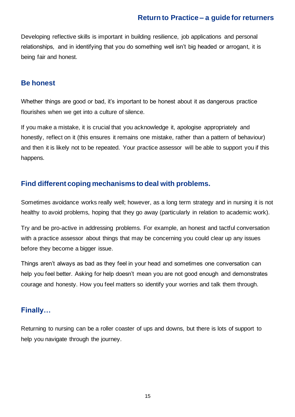Developing reflective skills is important in building resilience, job applications and personal relationships, and in identifying that you do something well isn't big headed or arrogant, it is being fair and honest.

#### <span id="page-14-0"></span>**Be honest**

Whether things are good or bad, it's important to be honest about it as dangerous practice flourishes when we get into a culture of silence.

If you make a mistake, it is crucial that you acknowledge it, apologise appropriately and honestly, reflect on it (this ensures it remains one mistake, rather than a pattern of behaviour) and then it is likely not to be repeated. Your practice assessor will be able to support you if this happens.

#### <span id="page-14-1"></span>**Find different coping mechanisms to deal with problems.**

Sometimes avoidance works really well; however, as a long term strategy and in nursing it is not healthy to avoid problems, hoping that they go away (particularly in relation to academic work).

Try and be pro-active in addressing problems. For example, an honest and tactful conversation with a practice assessor about things that may be concerning you could clear up any issues before they become a bigger issue.

Things aren't always as bad as they feel in your head and sometimes one conversation can help you feel better. Asking for help doesn't mean you are not good enough and demonstrates courage and honesty. How you feel matters so identify your worries and talk them through.

#### <span id="page-14-2"></span>**Finally…**

Returning to nursing can be a roller coaster of ups and downs, but there is lots of support to help you navigate through the journey.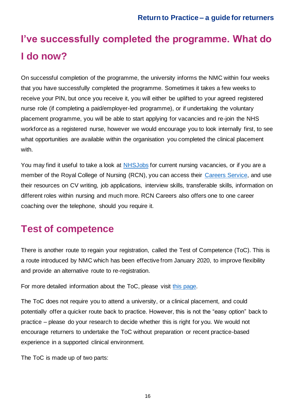# <span id="page-15-0"></span>**I've successfully completed the programme. What do I do now?**

On successful completion of the programme, the university informs the NMC within four weeks that you have successfully completed the programme. Sometimes it takes a few weeks to receive your PIN, but once you receive it, you will either be uplifted to your agreed registered nurse role (if completing a paid/employer-led programme), or if undertaking the voluntary placement programme, you will be able to start applying for vacancies and re-join the NHS workforce as a registered nurse, however we would encourage you to look internally first, to see what opportunities are available within the organisation you completed the clinical placement with.

You may find it useful to take a look at [NHSJobs](https://www.jobs.nhs.uk/) for current nursing vacancies, or if you are a member of the Royal College of Nursing (RCN), you can access their [Careers Service,](https://www.rcn.org.uk/get-help/member-support-services/careers) and use their resources on CV writing, job applications, interview skills, transferable skills, information on different roles within nursing and much more. RCN Careers also offers one to one career coaching over the telephone, should you require it.

# <span id="page-15-1"></span>**Test of competence**

There is another route to regain your registration, called the Test of Competence (ToC). This is a route introduced by NMC which has been effective from January 2020, to improve flexibility and provide an alternative route to re-registration.

For more detailed information about the ToC, please visit [this page.](https://www.nmc.org.uk/registration/returning-to-the-register/return-test-of-competence/)

The ToC does not require you to attend a university, or a clinical placement, and could potentially offer a quicker route back to practice. However, this is not the "easy option" back to practice – please do your research to decide whether this is right for you. We would not encourage returners to undertake the ToC without preparation or recent practice-based experience in a supported clinical environment.

The ToC is made up of two parts: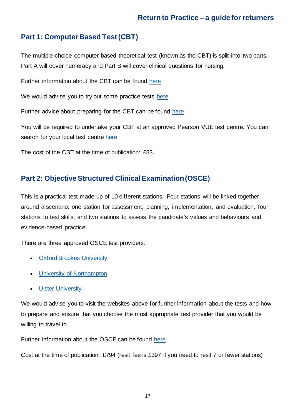#### <span id="page-16-0"></span>**Part 1: Computer Based Test (CBT)**

The multiple-choice computer based theoretical test (known as the CBT) is split into two parts. Part A will cover numeracy and Part B will cover clinical questions for nursing.

Further information about the CBT can be found [here](https://www.nmc.org.uk/globalassets/sitedocuments/registration/toc-21/toc-21-cbt-information-booklet.pdf)

We would advise you to try out some practice tests [here](https://home.pearsonvue.com/nmc/practicetests)

Further advice about preparing for the CBT can be found [here](https://home.pearsonvue.com/Test-takers/Resources.aspx#what-to-expect)

You will be required to undertake your CBT at an approved Pearson VUE test centre. You can search for your local test centre [here](https://wsr.pearsonvue.com/testtaker/registration/SelectTestCenterProximity/NMC?conversationId=40954)

The cost of the CBT at the time of publication: £83.

#### <span id="page-16-1"></span>**Part 2: Objective Structured Clinical Examination (OSCE)**

This is a practical test made up of 10 different stations. Four stations will be linked together around a scenario: one station for assessment, planning, implementation, and evaluation, four stations to test skills, and two stations to assess the candidate's values and behaviours and evidence-based practice.

There are three approved OSCE test providers:

- [Oxford Brookes University](http://www.brookes.ac.uk/nmc-test-of-competence/)
- [University of Northampton](http://www.northampton.ac.uk/about-us/services-and-facilities/nmc-test-of-competence/)
- [Ulster University](https://www.ulster.ac.uk/faculties/life-and-health-sciences/nmc-test-of-competence-centre)

We would advise you to visit the websites above for further information about the tests and how to prepare and ensure that you choose the most appropriate test provider that you would be willing to travel to.

Further information about the OSCE can be found [here](https://www.nmc.org.uk/globalassets/sitedocuments/registration/toc-21/toc-21-osce-information-booklet.pdf)

Cost at the time of publication: £794 (resit fee is £397 if you need to resit 7 or fewer stations)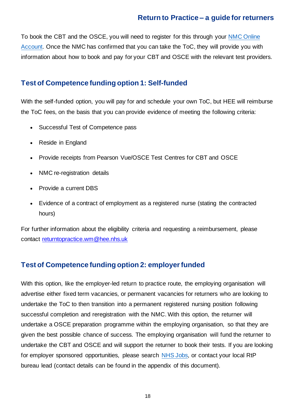To book the CBT and the OSCE, you will need to register for this through your [NMC Online](https://www.nmc.org.uk/registration/nmc-online/)  [Account.](https://www.nmc.org.uk/registration/nmc-online/) Once the NMC has confirmed that you can take the ToC, they will provide you with information about how to book and pay for your CBT and OSCE with the relevant test providers.

#### <span id="page-17-0"></span>**Test of Competence funding option 1: Self-funded**

With the self-funded option, you will pay for and schedule your own ToC, but HEE will reimburse the ToC fees, on the basis that you can provide evidence of meeting the following criteria:

- Successful Test of Competence pass
- Reside in England
- Provide receipts from Pearson Vue/OSCE Test Centres for CBT and OSCE
- NMC re-registration details
- Provide a current DBS
- Evidence of a contract of employment as a registered nurse (stating the contracted hours)

For further information about the eligibility criteria and requesting a reimbursement, please contact returntopractice.wm@hee.nhs.uk

#### <span id="page-17-1"></span>**Test of Competence funding option 2: employer funded**

With this option, like the employer-led return to practice route, the employing organisation will advertise either fixed term vacancies, or permanent vacancies for returners who are looking to undertake the ToC to then transition into a permanent registered nursing position following successful completion and reregistration with the NMC. With this option, the returner will undertake a OSCE preparation programme within the employing organisation, so that they are given the best possible chance of success. The employing organisation will fund the returner to undertake the CBT and OSCE and will support the returner to book their tests. If you are looking for employer sponsored opportunities, please search [NHS Jobs,](https://www.jobs.nhs.uk/) or contact your local RtP bureau lead (contact details can be found in the appendix of this document).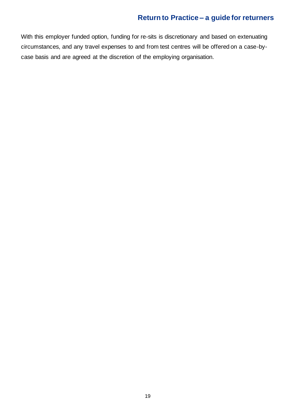With this employer funded option, funding for re-sits is discretionary and based on extenuating circumstances, and any travel expenses to and from test centres will be offered on a case-bycase basis and are agreed at the discretion of the employing organisation.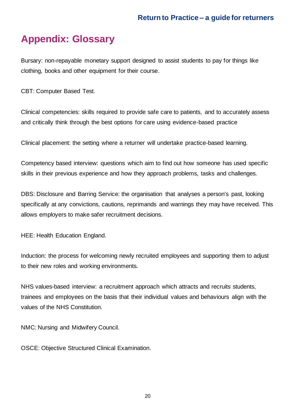# <span id="page-19-0"></span>**Appendix: Glossary**

Bursary: non-repayable monetary support designed to assist students to pay for things like clothing, books and other equipment for their course.

CBT: Computer Based Test.

Clinical competencies: skills required to provide safe care to patients, and to accurately assess and critically think through the best options for care using evidence-based practice

Clinical placement: the setting where a returner will undertake practice-based learning.

Competency based interview: questions which aim to find out how someone has used specific skills in their previous experience and how they approach problems, tasks and challenges.

DBS: Disclosure and Barring Service: the organisation that analyses a person's past, looking specifically at any convictions, cautions, reprimands and warnings they may have received. This allows employers to make safer recruitment decisions.

HEE: Health Education England.

Induction: the process for welcoming newly recruited employees and supporting them to adjust to their new roles and working environments.

NHS values-based interview: a recruitment approach which attracts and recruits students, trainees and employees on the basis that their individual values and behaviours align with the values of the NHS Constitution.

NMC: Nursing and Midwifery Council.

OSCE: Objective Structured Clinical Examination.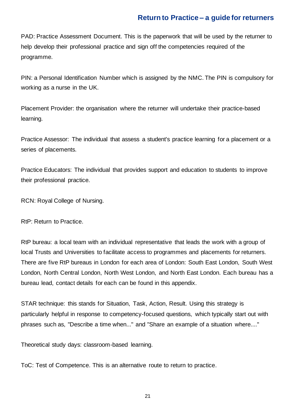PAD: Practice Assessment Document. This is the paperwork that will be used by the returner to help develop their professional practice and sign off the competencies required of the programme.

PIN: a Personal Identification Number which is assigned by the NMC. The PIN is compulsory for working as a nurse in the UK.

Placement Provider: the organisation where the returner will undertake their practice-based learning.

Practice Assessor: The individual that assess a student's practice learning for a placement or a series of placements.

Practice Educators: The individual that provides support and education to students to improve their professional practice.

RCN: Royal College of Nursing.

RtP: Return to Practice.

RtP bureau: a local team with an individual representative that leads the work with a group of local Trusts and Universities to facilitate access to programmes and placements for returners. There are five RtP bureaus in London for each area of London: South East London, South West London, North Central London, North West London, and North East London. Each bureau has a bureau lead, contact details for each can be found in this appendix.

STAR technique: this stands for Situation, Task, Action, Result. Using this strategy is particularly helpful in response to competency-focused questions, which typically start out with phrases such as, "Describe a time when..." and "Share an example of a situation where...."

Theoretical study days: classroom-based learning.

ToC: Test of Competence. This is an alternative route to return to practice.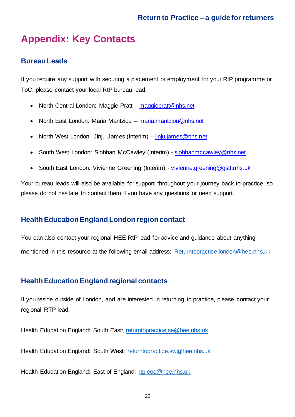# <span id="page-21-0"></span>**Appendix: Key Contacts**

#### <span id="page-21-1"></span>**Bureau Leads**

If you require any support with securing a placement or employment for your RtP programme or ToC, please contact your local RtP bureau lead:

- North Central London: Maggie Pratt maggiepratt@nhs.net
- North East London: Maria Mantziou maria.mantziou@nhs.net
- North West London: Jinju James (Interim) jinju.james@nhs.net
- South West London: Siobhan McCawley (Interim) siobhanmccawley@nhs.net
- South East London: Vivienne Greening (Interim) vivienne.greening@gstt.nhs.uk

Your bureau leads will also be available for support throughout your journey back to practice, so please do not hesitate to contact them if you have any questions or need support.

#### <span id="page-21-2"></span>**Health Education England London region contact**

You can also contact your regional HEE RtP lead for advice and guidance about anything mentioned in this resource at the following email address: [Returntopractice.london@hee.nhs.uk](mailto:Returntopractice.london@hee.nhs.uk)

#### <span id="page-21-3"></span>**Health Education England regional contacts**

If you reside outside of London, and are interested in returning to practice, please contact your regional RTP lead:

Health Education England: South East: [returntopractice.se@hee.nhs.uk](mailto:returntopractice.se@hee.nhs.uk)

Health Education England: South West: [returntopractice.sw@hee.nhs.uk](mailto:returntopractice.sw@hee.nhs.uk)

Health Education England: East of England: [rtp.eoe@hee.nhs.uk](mailto:rtp.eoe@hee.nhs.uk)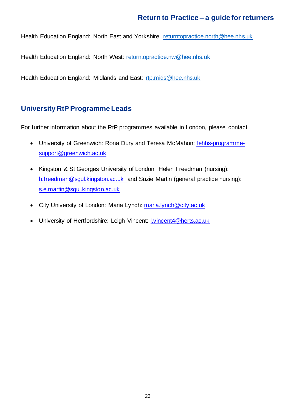Health Education England: North East and Yorkshire: [returntopractice.north@hee.nhs.uk](mailto:returntopractice.north@hee.nhs.uk)

Health Education England: North West: [returntopractice.nw@hee.nhs.uk](mailto:returntopractice.nw@hee.nhs.uk)

Health Education England: Midlands and East: [rtp.mids@hee.nhs.uk](mailto:rtp.mids@hee.nhs.uk)

#### <span id="page-22-0"></span>**University RtP Programme Leads**

For further information about the RtP programmes available in London, please contact

- University of Greenwich: Rona Dury and Teresa McMahon: fehhs-programmesupport@greenwich.ac.uk
- Kingston & St Georges University of London: Helen Freedman (nursing): h.freedman@sgul.kingston.ac.uk and Suzie Martin (general practice nursing): s.e.martin@sgul.kingston.ac.uk
- City University of London: Maria Lynch: maria.lynch@city.ac.uk
- University of Hertfordshire: Leigh Vincent: l.vincent4@herts.ac.uk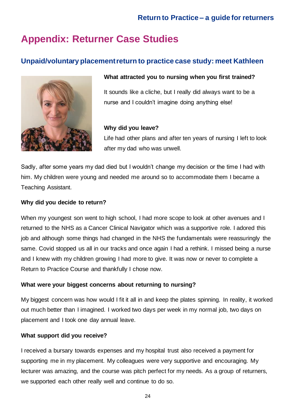# <span id="page-23-0"></span>**Appendix: Returner Case Studies**

#### <span id="page-23-1"></span>**Unpaid/voluntary placement return to practice case study: meet Kathleen**



#### **What attracted you to nursing when you first trained?**

It sounds like a cliche, but I really did always want to be a nurse and I couldn't imagine doing anything else!

#### **Why did you leave?**

Life had other plans and after ten years of nursing I left to look after my dad who was unwell.

Sadly, after some years my dad died but I wouldn't change my decision or the time I had with him. My children were young and needed me around so to accommodate them I became a Teaching Assistant.

#### **Why did you decide to return?**

When my youngest son went to high school, I had more scope to look at other avenues and I returned to the NHS as a Cancer Clinical Navigator which was a supportive role. I adored this job and although some things had changed in the NHS the fundamentals were reassuringly the same. Covid stopped us all in our tracks and once again I had a rethink. I missed being a nurse and I knew with my children growing I had more to give. It was now or never to complete a Return to Practice Course and thankfully I chose now.

#### **What were your biggest concerns about returning to nursing?**

My biggest concern was how would I fit it all in and keep the plates spinning. In reality, it worked out much better than I imagined. I worked two days per week in my normal job, two days on placement and I took one day annual leave.

#### **What support did you receive?**

I received a bursary towards expenses and my hospital trust also received a payment for supporting me in my placement. My colleagues were very supportive and encouraging. My lecturer was amazing, and the course was pitch perfect for my needs. As a group of returners, we supported each other really well and continue to do so.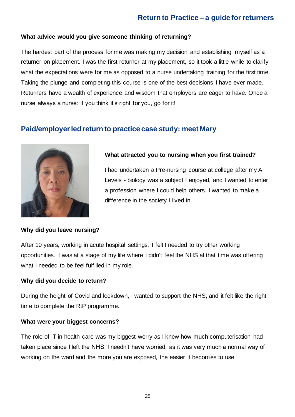#### **What advice would you give someone thinking of returning?**

The hardest part of the process for me was making my decision and establishing myself as a returner on placement. I was the first returner at my placement, so it took a little while to clarify what the expectations were for me as opposed to a nurse undertaking training for the first time. Taking the plunge and completing this course is one of the best decisions I have ever made. Returners have a wealth of experience and wisdom that employers are eager to have. Once a nurse always a nurse: if you think it's right for you, go for it!

#### <span id="page-24-0"></span>**Paid/employer led return to practice case study: meet Mary**



#### **What attracted you to nursing when you first trained?**

I had undertaken a Pre-nursing course at college after my A Levels - biology was a subject I enjoyed, and I wanted to enter a profession where I could help others. I wanted to make a difference in the society I lived in.

#### **Why did you leave nursing?**

After 10 years, working in acute hospital settings, I felt I needed to try other working opportunities. I was at a stage of my life where I didn't feel the NHS at that time was offering what I needed to be feel fulfilled in my role.

#### **Why did you decide to return?**

During the height of Covid and lockdown, I wanted to support the NHS, and it felt like the right time to complete the RtP programme.

#### **What were your biggest concerns?**

The role of IT in health care was my biggest worry as I knew how much computerisation had taken place since I left the NHS. I needn't have worried, as it was very much a normal way of working on the ward and the more you are exposed, the easier it becomes to use.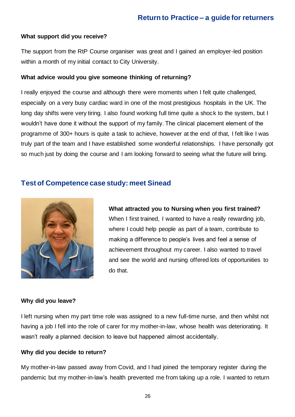#### **What support did you receive?**

The support from the RtP Course organiser was great and I gained an employer-led position within a month of my initial contact to City University.

#### **What advice would you give someone thinking of returning?**

I really enjoyed the course and although there were moments when I felt quite challenged, especially on a very busy cardiac ward in one of the most prestigious hospitals in the UK. The long day shifts were very tiring. I also found working full time quite a shock to the system, but I wouldn't have done it without the support of my family. The clinical placement element of the programme of 300+ hours is quite a task to achieve, however at the end of that, I felt like I was truly part of the team and I have established some wonderful relationships. I have personally got so much just by doing the course and I am looking forward to seeing what the future will bring.

#### <span id="page-25-0"></span>**Test of Competence case study: meet Sinead**



**What attracted you to Nursing when you first trained?** When I first trained, I wanted to have a really rewarding job, where I could help people as part of a team, contribute to making a difference to people's lives and feel a sense of achievement throughout my career. I also wanted to travel and see the world and nursing offered lots of opportunities to do that.

#### **Why did you leave?**

I left nursing when my part time role was assigned to a new full-time nurse, and then whilst not having a job I fell into the role of carer for my mother-in-law, whose health was deteriorating. It wasn't really a planned decision to leave but happened almost accidentally.

#### **Why did you decide to return?**

My mother-in-law passed away from Covid, and I had joined the temporary register during the pandemic but my mother-in-law's health prevented me from taking up a role. I wanted to return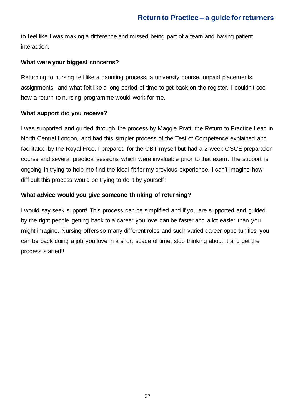to feel like I was making a difference and missed being part of a team and having patient interaction.

#### **What were your biggest concerns?**

Returning to nursing felt like a daunting process, a university course, unpaid placements, assignments, and what felt like a long period of time to get back on the register. I couldn't see how a return to nursing programme would work for me.

#### **What support did you receive?**

I was supported and guided through the process by Maggie Pratt, the Return to Practice Lead in North Central London, and had this simpler process of the Test of Competence explained and facilitated by the Royal Free. I prepared for the CBT myself but had a 2-week OSCE preparation course and several practical sessions which were invaluable prior to that exam. The support is ongoing in trying to help me find the ideal fit for my previous experience, I can't imagine how difficult this process would be trying to do it by yourself!

#### **What advice would you give someone thinking of returning?**

I would say seek support! This process can be simplified and if you are supported and guided by the right people getting back to a career you love can be faster and a lot easier than you might imagine. Nursing offers so many different roles and such varied career opportunities you can be back doing a job you love in a short space of time, stop thinking about it and get the process started!!